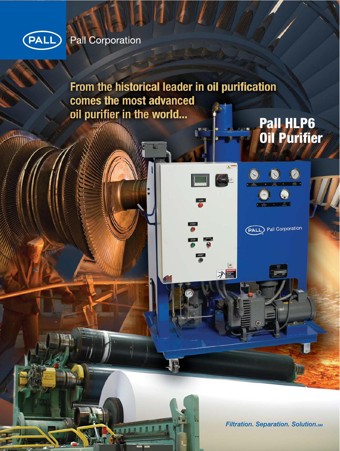

# Pall Corporation

From the historical leader in oil purification comes the most advanced oil purifier in the world... **Pall HLP6<br>Oil Purifier** 

**ANN** 

ブロ

START

**Filtration. Separation. Solution.sm** 

(PALL) Pall Corporation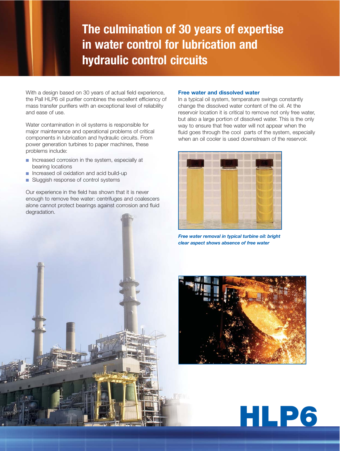# **The culmination of 30 years of expertise in water control for lubrication and hydraulic control circuits**

With a design based on 30 years of actual field experience, the Pall HLP6 oil purifier combines the excellent efficiency of mass transfer purifiers with an exceptional level of reliability and ease of use.

Water contamination in oil systems is responsible for major maintenance and operational problems of critical components in lubrication and hydraulic circuits. From power generation turbines to paper machines, these problems include:

- Increased corrosion in the system, especially at bearing locations
- Increased oil oxidation and acid build-up
- Sluggish response of control systems

Our experience in the field has shown that it is never enough to remove free water: centrifuges and coalescers alone cannot protect bearings against corrosion and fluid degradation.

#### **Free water and dissolved water**

In a typical oil system, temperature swings constantly change the dissolved water content of the oil. At the reservoir location it is critical to remove not only free water, but also a large portion of dissolved water. This is the only way to ensure that free water will not appear when the fluid goes through the cool parts of the system, especially when an oil cooler is used downstream of the reservoir.



*Free water removal in typical turbine oil: bright clear aspect shows absence of free water*



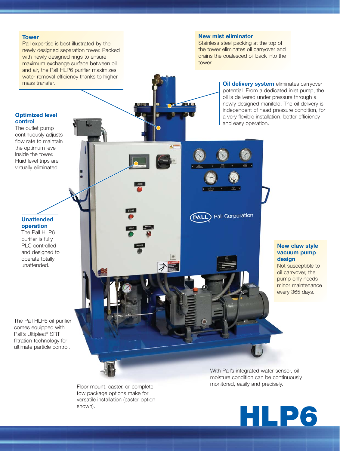#### **Tower**

Pall expertise is best illustrated by the newly designed separation tower. Packed with newly designed rings to ensure maximum exchange surface between oil and air, the Pall HLP6 purifier maximizes water removal efficiency thanks to higher mass transfer. **Oil delivery system** eliminates carryover

#### **New mist eliminator**

Stainless steel packing at the top of the tower eliminates oil carryover and drains the coalesced oil back into the tower

> potential. From a dedicated inlet pump, the oil is delivered under pressure through a newly designed manifold. The oil delivery is independent of head pressure condition, for a very flexible installation, better efficiency and easy operation.

#### **Optimized level control**

The outlet pump continuously adjusts flow rate to maintain the optimum level inside the tower. Fluid level trips are virtually eliminated.

> **Unattended operation**  The Pall HLP6

purifier is fully PLC controlled and designed to operate totally unattended.

The Pall HLP6 oil purifier comes equipped with Pall's Ultipleat® SRT filtration technology for ultimate particle control.



With Pall's integrated water sensor, oil moisture condition can be continuously monitored, easily and precisely. Floor mount, caster, or complete



tow package options make for versatile installation (caster option shown).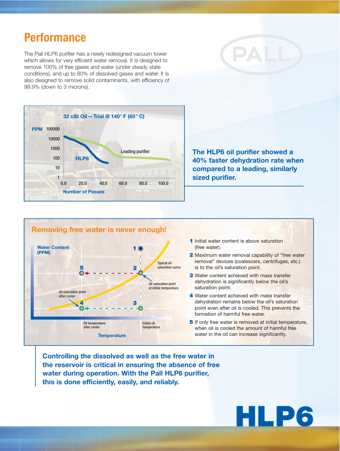# **Performance**

The Pall HLP6 purifier has a newly redesigned vacuum tower which allows for very efficient water removal. It is designed to remove 100% of free gases and water (under steady state conditions), and up to 80% of dissolved gases and water. It is also designed to remove solid contaminants, with efficiency of 99.9% (down to 3 microns).



**The HLP6 oil purifier showed a 40% faster dehydration rate when compared to a leading, similarly sized purifier.**



- **1** Initial water content is above saturation (free water).
- **2** Maximum water removal capability of "free water removal" devices (coalescers, centrifuges, etc.) is to the oil's saturation point.
- **3** Water content achieved with mass transfer dehydration is significantly below the oil's saturation point.
- **4** Water content achieved with mass transfer dehydration remains below the oil's saturation point even after oil is cooled. This prevents the formation of harmful free water.
- **5** If only free water is removed at initial temperature, when oil is cooled the amount of harmful free water in the oil can increase significantly.

**Controlling the dissolved as well as the free water in the reservoir is critical in ensuring the absence of free water during operation. With the Pall HLP6 purifier, this is done efficiently, easily, and reliably.**

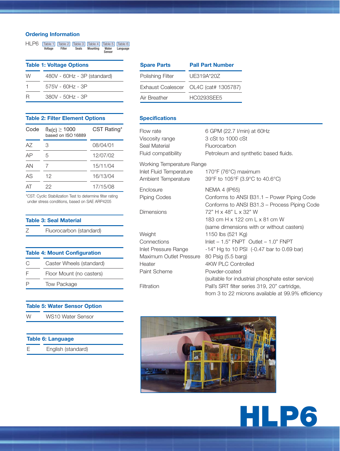#### **Ordering Information**

| HI P <sub>6</sub>               | Table 1<br>Voltage | Table 2<br>Filter | Table 3<br><b>Seals</b> | Table 4<br><b>Mounting</b>  | Table 5<br>Water | Table 6<br>Language |
|---------------------------------|--------------------|-------------------|-------------------------|-----------------------------|------------------|---------------------|
|                                 |                    |                   |                         |                             | Sensor           |                     |
| <b>Table 1: Voltage Options</b> |                    |                   |                         |                             |                  |                     |
|                                 |                    |                   |                         |                             |                  |                     |
| W                               |                    |                   |                         | 480V - 60Hz - 3P (standard) |                  |                     |
|                                 |                    | 575V - 60Hz - 3P  |                         |                             |                  |                     |
| н                               |                    | 380V - 50Hz - 3P  |                         |                             |                  |                     |

| <b>Table 2: Filter Element Options</b> |                                                    |             |  |
|----------------------------------------|----------------------------------------------------|-------------|--|
|                                        | Code $\beta_{X(C)} \ge 1000$<br>based on ISO 16889 | CST Rating* |  |
|                                        |                                                    |             |  |

| AZ | З  | 08/04/01 |
|----|----|----------|
| AP | 5  | 12/07/02 |
| AN |    | 15/11/04 |
| AS | 12 | 16/13/04 |
| AT | 22 | 17/15/08 |

\*CST: Cyclic Stabilization Test to determine filter rating under stress conditions, based on SAE ARP4205

| <b>Table 3: Seal Material</b> |                         |  |  |
|-------------------------------|-------------------------|--|--|
| 7                             | Fluorocarbon (standard) |  |  |
|                               |                         |  |  |

| <b>Table 4: Mount Configuration</b> |                          |  |  |
|-------------------------------------|--------------------------|--|--|
| C                                   | Caster Wheels (standard) |  |  |
| F                                   | Floor Mount (no casters) |  |  |
| P                                   | <b>Tow Package</b>       |  |  |

### **Table 5: Water Sensor Option** W WS10 Water Sensor

| <b>Table 6: Language</b> |                    |  |  |
|--------------------------|--------------------|--|--|
| F                        | English (standard) |  |  |

| <b>Spare Parts</b> | <b>Pall Part Number</b>               |  |  |
|--------------------|---------------------------------------|--|--|
| Polishing Filter   | UE319A*20Z                            |  |  |
|                    | Exhaust Coalescer OL4C (cat# 1305787) |  |  |
| Air Breather       | HC0293SFF5                            |  |  |
|                    |                                       |  |  |

#### **Specifications**

| Flow rate<br>Viscosity range<br>Seal Material<br>Fluid compatibility        | 6 GPM (22.7 I/min) at 60Hz<br>3 cSt to 1000 cSt<br>Fluorocarbon<br>Petroleum and synthetic based fluids.                                                |
|-----------------------------------------------------------------------------|---------------------------------------------------------------------------------------------------------------------------------------------------------|
| Working Temperature Range<br>Inlet Fluid Temperature<br>Ambient Temperature | 170°F (76°C) maximum<br>39°F to 105°F (3.9°C to 40.6°C)                                                                                                 |
| Enclosure<br>Piping Codes                                                   | <b>NEMA 4 (IP65)</b><br>Conforms to ANSI B31.1 – Power Piping Code<br>Conforms to ANSI B31.3 - Process Piping Code                                      |
| Dimensions                                                                  | 72" H x 48" L x 32" W<br>183 cm H x 122 cm L x 81 cm W<br>(same dimensions with or without casters)                                                     |
| Weight                                                                      | 1150 lbs (521 Kg)                                                                                                                                       |
| Connections                                                                 | Inlet $-1.5$ " FNPT Outlet $-1.0$ " FNPT                                                                                                                |
| Inlet Pressure Range                                                        | -14" Hg to 10 PSI (-0.47 bar to 0.69 bar)                                                                                                               |
| Maximum Outlet Pressure<br>Heater                                           | 80 Psig (5.5 barg)<br>4KW PLC Controlled                                                                                                                |
| Paint Scheme                                                                | Powder-coated                                                                                                                                           |
| Filtration                                                                  | (suitable for industrial phosphate ester service)<br>Pall's SRT filter series 319, 20" cartridge,<br>from 3 to 22 microns available at 99.9% efficiency |